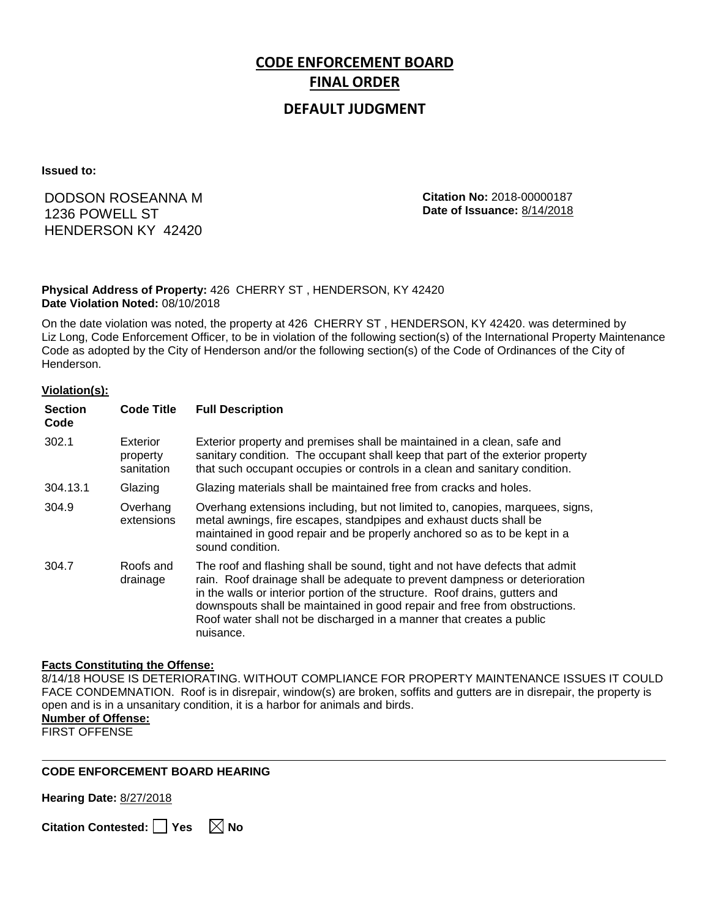# **CODE ENFORCEMENT BOARD FINAL ORDER**

## **DEFAULT JUDGMENT**

**Issued to:**

# DODSON ROSEANNA M 1236 POWELL ST HENDERSON KY 42420

**Citation No:** 2018-00000187 **Date of Issuance:** 8/14/2018

#### **Physical Address of Property:** 426 CHERRY ST , HENDERSON, KY 42420 **Date Violation Noted:** 08/10/2018

On the date violation was noted, the property at 426 CHERRY ST , HENDERSON, KY 42420. was determined by Liz Long, Code Enforcement Officer, to be in violation of the following section(s) of the International Property Maintenance Code as adopted by the City of Henderson and/or the following section(s) of the Code of Ordinances of the City of Henderson.

#### **Violation(s):**

| <b>Section</b><br>Code | <b>Code Title</b>                  | <b>Full Description</b>                                                                                                                                                                                                                                                                                                                                                                                    |
|------------------------|------------------------------------|------------------------------------------------------------------------------------------------------------------------------------------------------------------------------------------------------------------------------------------------------------------------------------------------------------------------------------------------------------------------------------------------------------|
| 302.1                  | Exterior<br>property<br>sanitation | Exterior property and premises shall be maintained in a clean, safe and<br>sanitary condition. The occupant shall keep that part of the exterior property<br>that such occupant occupies or controls in a clean and sanitary condition.                                                                                                                                                                    |
| 304.13.1               | Glazing                            | Glazing materials shall be maintained free from cracks and holes.                                                                                                                                                                                                                                                                                                                                          |
| 304.9                  | Overhang<br>extensions             | Overhang extensions including, but not limited to, canopies, marquees, signs,<br>metal awnings, fire escapes, standpipes and exhaust ducts shall be<br>maintained in good repair and be properly anchored so as to be kept in a<br>sound condition.                                                                                                                                                        |
| 304.7                  | Roofs and<br>drainage              | The roof and flashing shall be sound, tight and not have defects that admit<br>rain. Roof drainage shall be adequate to prevent dampness or deterioration<br>in the walls or interior portion of the structure. Roof drains, gutters and<br>downspouts shall be maintained in good repair and free from obstructions.<br>Roof water shall not be discharged in a manner that creates a public<br>nuisance. |

#### **Facts Constituting the Offense:**

8/14/18 HOUSE IS DETERIORATING. WITHOUT COMPLIANCE FOR PROPERTY MAINTENANCE ISSUES IT COULD FACE CONDEMNATION. Roof is in disrepair, window(s) are broken, soffits and gutters are in disrepair, the property is open and is in a unsanitary condition, it is a harbor for animals and birds. **Number of Offense:**

FIRST OFFENSE

#### **CODE ENFORCEMENT BOARD HEARING**

**Hearing Date:** 8/27/2018

**Citation Contested:** □ Yes  $\ \ \mathbb{\times}$  No